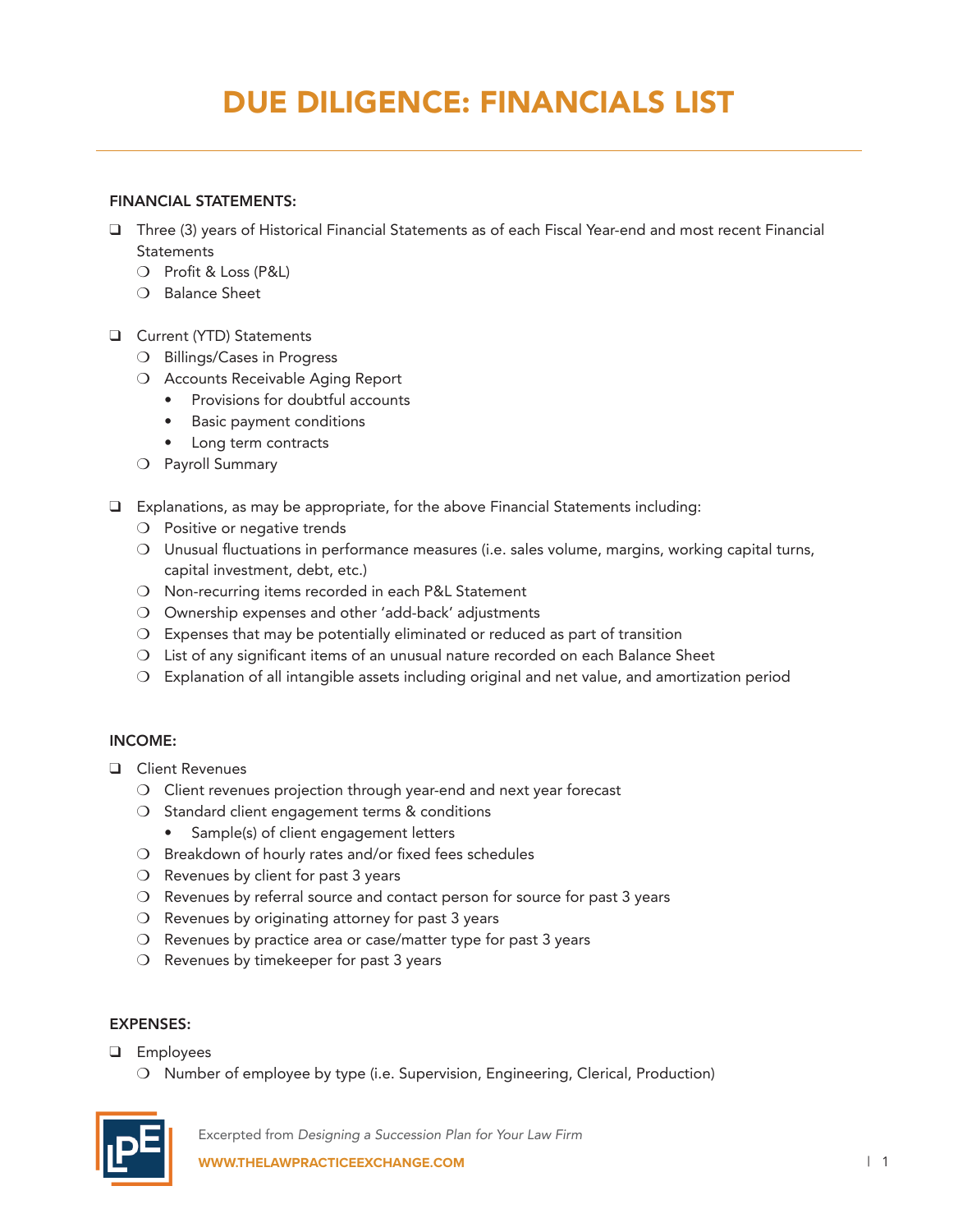# DUE DILIGENCE: FINANCIALS LIST

#### FINANCIAL STATEMENTS:

- $\Box$  Three (3) years of Historical Financial Statements as of each Fiscal Year-end and most recent Financial **Statements** 
	- O Profit & Loss (P&L)
	- $\Omega$  Balance Sheet
- **Q** Current (YTD) Statements
	- O Billings/Cases in Progress
	- O Accounts Receivable Aging Report
		- Provisions for doubtful accounts
		- Basic payment conditions
		- • Long term contracts
	- O Payroll Summary
- $\Box$  Explanations, as may be appropriate, for the above Financial Statements including:
	- $\bigcirc$  Positive or negative trends
	- O Unusual fluctuations in performance measures (i.e. sales volume, margins, working capital turns, capital investment, debt, etc.)
	- $\bigcirc$  Non-recurring items recorded in each P&L Statement
	- O Ownership expenses and other 'add-back' adjustments
	- $O$  Expenses that may be potentially eliminated or reduced as part of transition
	- $O$  List of any significant items of an unusual nature recorded on each Balance Sheet
	- $\bigcirc$  Explanation of all intangible assets including original and net value, and amortization period

#### INCOME:

- **Q** Client Revenues
	- $\bigcirc$  Client revenues projection through year-end and next year forecast
	- $\bigcirc$  Standard client engagement terms & conditions
		- Sample(s) of client engagement letters
	- $\bigcirc$  Breakdown of hourly rates and/or fixed fees schedules
	- $\bigcirc$  Revenues by client for past 3 years
	- $\bigcirc$  Revenues by referral source and contact person for source for past 3 years
	- $\bigcirc$  Revenues by originating attorney for past 3 years
	- $\overline{O}$  Revenues by practice area or case/matter type for past 3 years
	- $\bigcirc$  Revenues by timekeeper for past 3 years

#### EXPENSES:

- **Q** Employees
	- O Number of employee by type (i.e. Supervision, Engineering, Clerical, Production)



Excerpted from *Designing a Succession Plan for Your Law Firm* **WWW.THELAWPRACTICEEXCHANGE.COM** | 1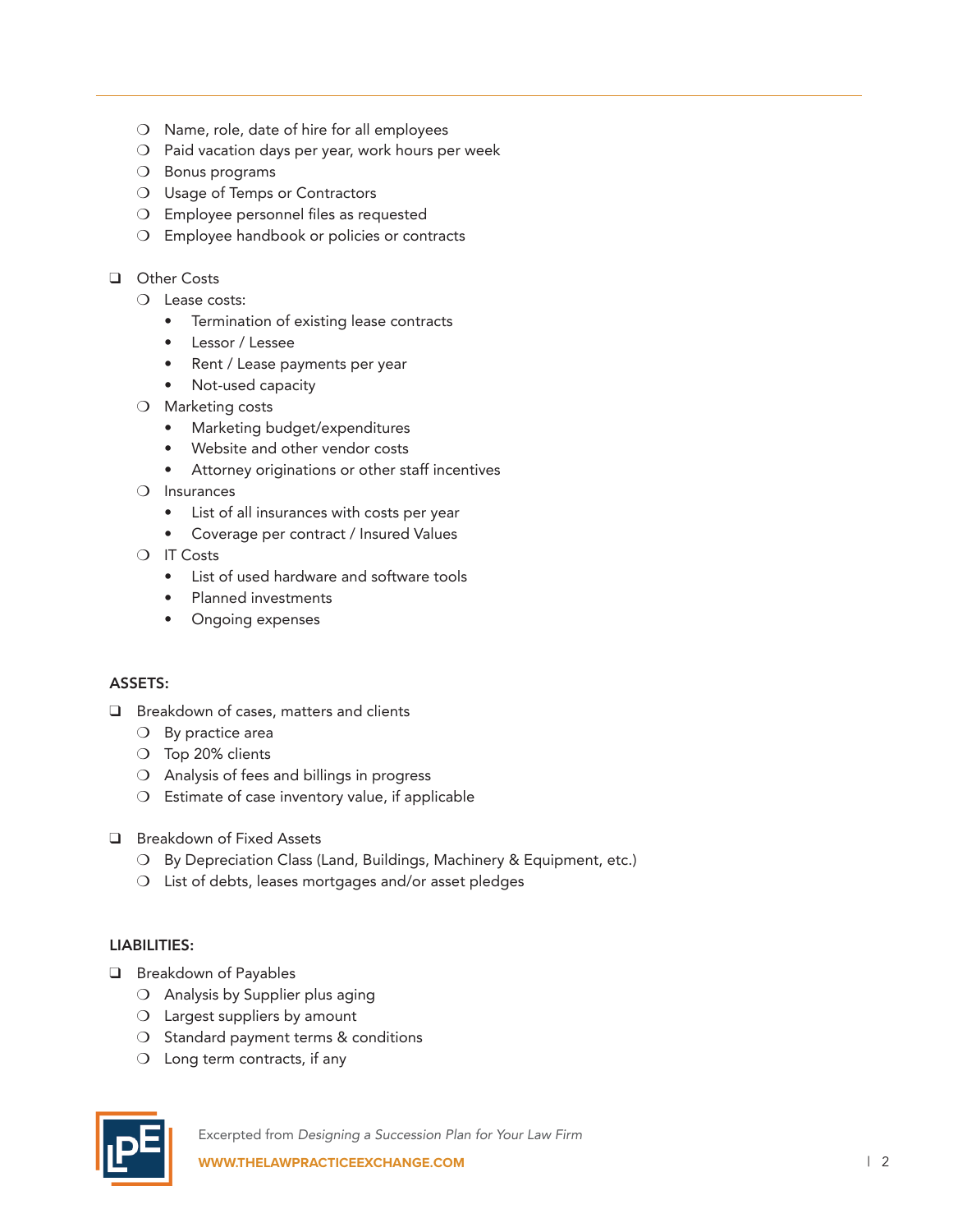- $\bigcirc$  Name, role, date of hire for all employees
- $\bigcirc$  Paid vacation days per year, work hours per week
- $\bigcirc$  Bonus programs
- O Usage of Temps or Contractors
- $\bigcirc$  Employee personnel files as requested
- $\bigcirc$  Employee handbook or policies or contracts

### **Q** Other Costs

- $\bigcirc$  Lease costs:
	- Termination of existing lease contracts
	- • Lessor / Lessee
	- Rent / Lease payments per year
	- Not-used capacity
- $\bigcirc$  Marketing costs
	- Marketing budget/expenditures
	- Website and other vendor costs
	- Attorney originations or other staff incentives
- $\bigcirc$  Insurances
	- • List of all insurances with costs per year
	- Coverage per contract / Insured Values
- $\bigcirc$  IT Costs
	- List of used hardware and software tools
	- Planned investments
	- Ongoing expenses

#### ASSETS:

- $\Box$  Breakdown of cases, matters and clients
	- $\bigcirc$  By practice area
	- $\circ$  Top 20% clients
	- $\bigcirc$  Analysis of fees and billings in progress
	- $\bigcirc$  Estimate of case inventory value, if applicable
- **Q** Breakdown of Fixed Assets
	- O By Depreciation Class (Land, Buildings, Machinery & Equipment, etc.)
	- $O$  List of debts, leases mortgages and/or asset pledges

## LIABILITIES:

- **Q** Breakdown of Payables
	- $\bigcirc$  Analysis by Supplier plus aging
	- $\bigcirc$  Largest suppliers by amount
	- $\bigcirc$  Standard payment terms & conditions
	- $\bigcirc$  Long term contracts, if any



Excerpted from *Designing a Succession Plan for Your Law Firm*